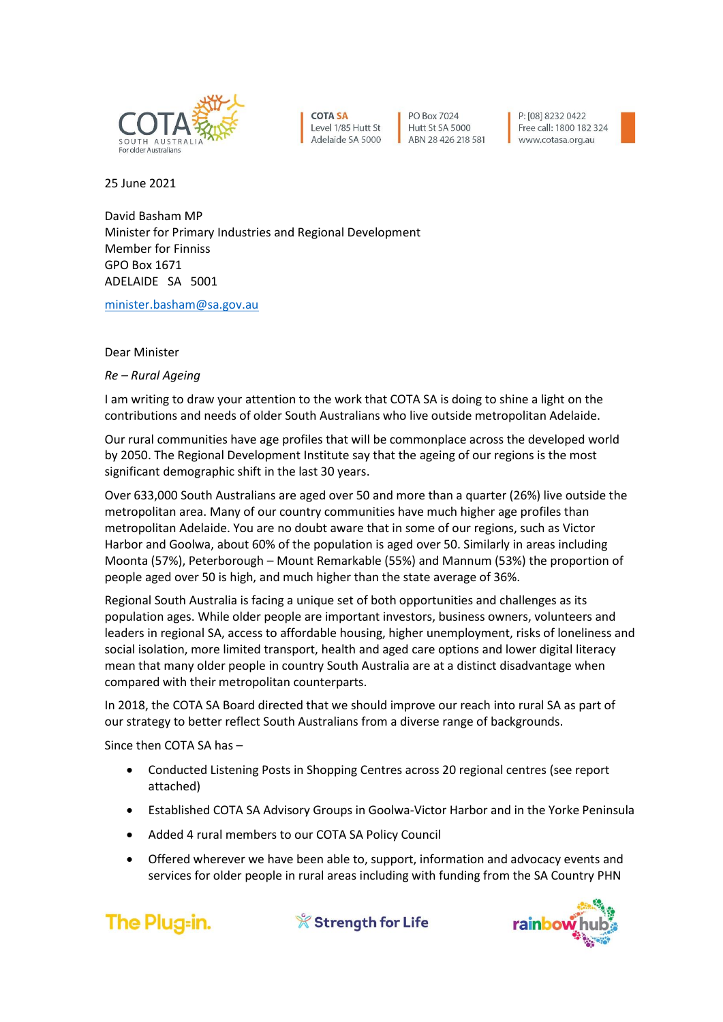

**COTA SA** Level 1/85 Hutt St Adelaide SA 5000

PO Box 7024 Hutt St SA 5000 ABN 28 426 218 581

P: [08] 8232 0422 Free call: 1800 182 324 www.cotasa.org.au



25 June 2021

David Basham MP Minister for Primary Industries and Regional Development Member for Finniss GPO Box 1671 ADELAIDE SA 5001

[minister.basham@sa.gov.au](mailto:minister.basham@sa.gov.au)

Dear Minister

*Re – Rural Ageing*

I am writing to draw your attention to the work that COTA SA is doing to shine a light on the contributions and needs of older South Australians who live outside metropolitan Adelaide.

Our rural communities have age profiles that will be commonplace across the developed world by 2050. The Regional Development Institute say that the ageing of our regions is the most significant demographic shift in the last 30 years.

Over 633,000 South Australians are aged over 50 and more than a quarter (26%) live outside the metropolitan area. Many of our country communities have much higher age profiles than metropolitan Adelaide. You are no doubt aware that in some of our regions, such as Victor Harbor and Goolwa, about 60% of the population is aged over 50. Similarly in areas including Moonta (57%), Peterborough – Mount Remarkable (55%) and Mannum (53%) the proportion of people aged over 50 is high, and much higher than the state average of 36%.

Regional South Australia is facing a unique set of both opportunities and challenges as its population ages. While older people are important investors, business owners, volunteers and leaders in regional SA, access to affordable housing, higher unemployment, risks of loneliness and social isolation, more limited transport, health and aged care options and lower digital literacy mean that many older people in country South Australia are at a distinct disadvantage when compared with their metropolitan counterparts.

In 2018, the COTA SA Board directed that we should improve our reach into rural SA as part of our strategy to better reflect South Australians from a diverse range of backgrounds.

Since then COTA SA has –

- Conducted Listening Posts in Shopping Centres across 20 regional centres (see report attached)
- Established COTA SA Advisory Groups in Goolwa-Victor Harbor and in the Yorke Peninsula
- Added 4 rural members to our COTA SA Policy Council
- Offered wherever we have been able to, support, information and advocacy events and services for older people in rural areas including with funding from the SA Country PHN



*& Strength for Life*